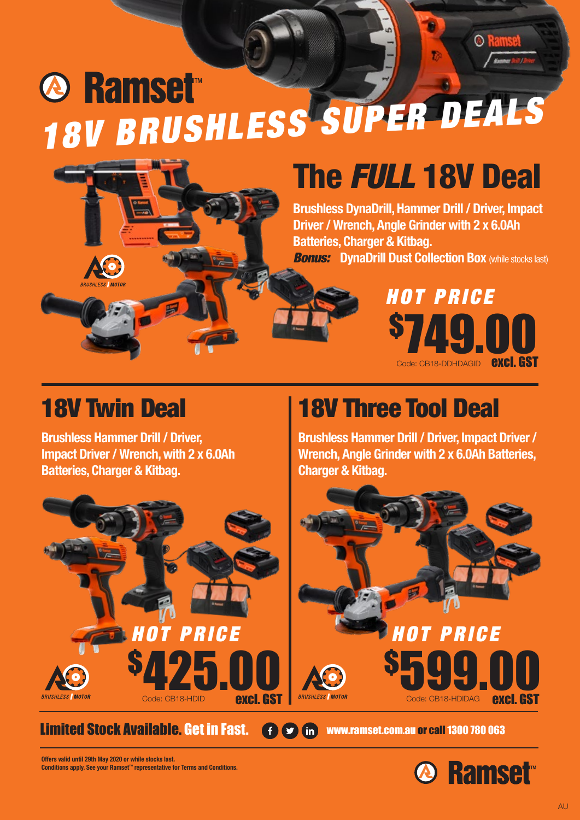# *18V BRUSHLESS SUPER DEALS*



### The *FULL* 18V Deal

**Brushless DynaDrill, Hammer Drill / Driver, Impact Driver / Wrench, Angle Grinder with 2 x 6.0Ah Batteries, Charger & Kitbag.**  *Bonus:* DynaDrill Dust Collection Box (while stocks last)



#### 18V Twin Deal

**Brushless Hammer Drill / Driver, Impact Driver / Wrench, with 2 x 6.0Ah Batteries, Charger & Kitbag.**

#### 18V Three Tool Deal

**Brushless Hammer Drill / Driver, Impact Driver / Wrench, Angle Grinder with 2 x 6.0Ah Batteries, Charger & Kitbag.**





www.ramset.com.au or call 1300 780 063

**Offers valid until 29th May 2020 or while stocks last. Conditions apply. See your Ramset™ representative for Terms and Conditions.** 

Limited Stock Available. Get in Fast.